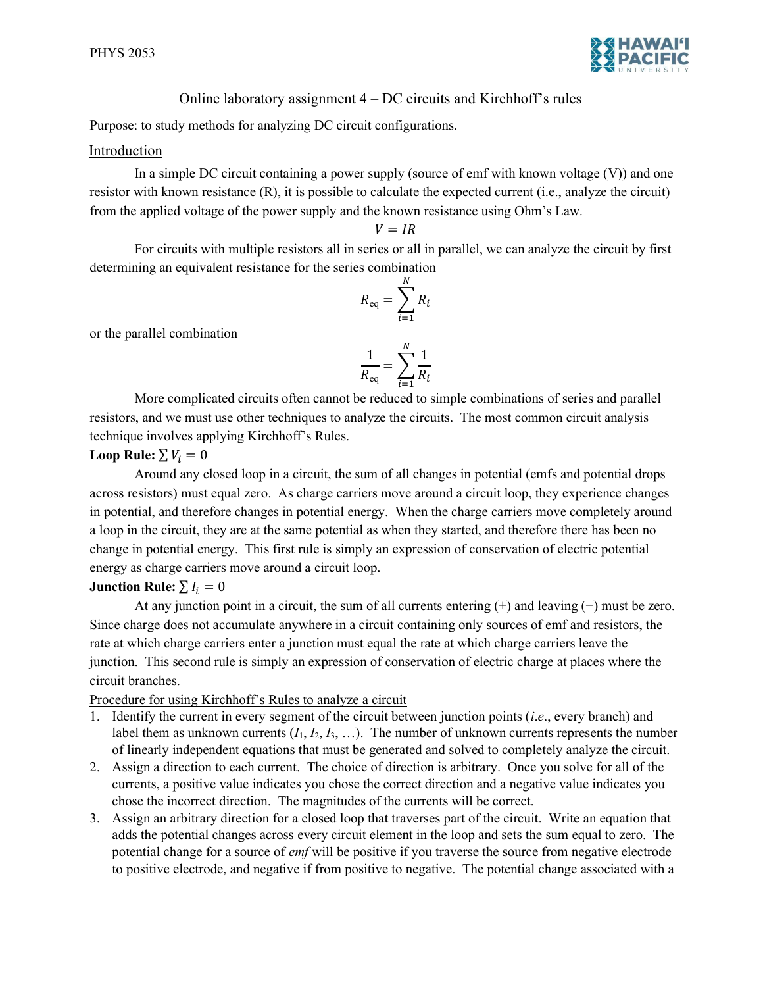

# Online laboratory assignment 4 – DC circuits and Kirchhoff's rules

Purpose: to study methods for analyzing DC circuit configurations.

### Introduction

In a simple DC circuit containing a power supply (source of emf with known voltage  $(V)$ ) and one resistor with known resistance (R), it is possible to calculate the expected current (i.e., analyze the circuit) from the applied voltage of the power supply and the known resistance using Ohm's Law.

$$
V = IR
$$

For circuits with multiple resistors all in series or all in parallel, we can analyze the circuit by first determining an equivalent resistance for the series combination

$$
R_{\text{eq}} = \sum_{i=1}^{N} R_i
$$

or the parallel combination

$$
\frac{1}{R_{\text{eq}}} = \sum_{i=1}^{N} \frac{1}{R_i}
$$

More complicated circuits often cannot be reduced to simple combinations of series and parallel resistors, and we must use other techniques to analyze the circuits. The most common circuit analysis technique involves applying Kirchhoff's Rules.

## Loop Rule:  $\sum V_i = 0$

Around any closed loop in a circuit, the sum of all changes in potential (emfs and potential drops across resistors) must equal zero. As charge carriers move around a circuit loop, they experience changes in potential, and therefore changes in potential energy. When the charge carriers move completely around a loop in the circuit, they are at the same potential as when they started, and therefore there has been no change in potential energy. This first rule is simply an expression of conservation of electric potential energy as charge carriers move around a circuit loop.

## Junction Rule:  $\sum I_i = 0$

At any junction point in a circuit, the sum of all currents entering (+) and leaving (−) must be zero. Since charge does not accumulate anywhere in a circuit containing only sources of emf and resistors, the rate at which charge carriers enter a junction must equal the rate at which charge carriers leave the junction. This second rule is simply an expression of conservation of electric charge at places where the circuit branches.

## Procedure for using Kirchhoff's Rules to analyze a circuit

- 1. Identify the current in every segment of the circuit between junction points (i.e., every branch) and label them as unknown currents  $(I_1, I_2, I_3, ...)$ . The number of unknown currents represents the number of linearly independent equations that must be generated and solved to completely analyze the circuit.
- 2. Assign a direction to each current. The choice of direction is arbitrary. Once you solve for all of the currents, a positive value indicates you chose the correct direction and a negative value indicates you chose the incorrect direction. The magnitudes of the currents will be correct.
- 3. Assign an arbitrary direction for a closed loop that traverses part of the circuit. Write an equation that adds the potential changes across every circuit element in the loop and sets the sum equal to zero. The potential change for a source of *emf* will be positive if you traverse the source from negative electrode to positive electrode, and negative if from positive to negative. The potential change associated with a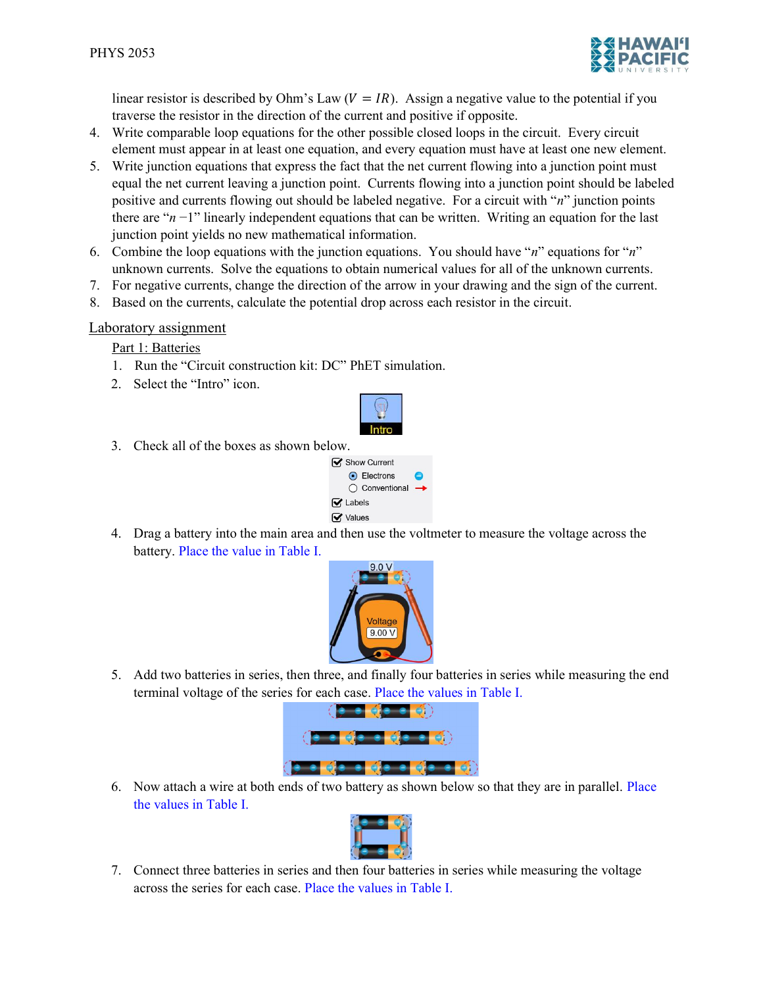

linear resistor is described by Ohm's Law  $(V = IR)$ . Assign a negative value to the potential if you traverse the resistor in the direction of the current and positive if opposite.

- 4. Write comparable loop equations for the other possible closed loops in the circuit. Every circuit element must appear in at least one equation, and every equation must have at least one new element.
- 5. Write junction equations that express the fact that the net current flowing into a junction point must equal the net current leaving a junction point. Currents flowing into a junction point should be labeled positive and currents flowing out should be labeled negative. For a circuit with " $n$ " junction points there are " $n-1$ " linearly independent equations that can be written. Writing an equation for the last junction point yields no new mathematical information.
- 6. Combine the loop equations with the junction equations. You should have "n" equations for "n" unknown currents. Solve the equations to obtain numerical values for all of the unknown currents.
- 7. For negative currents, change the direction of the arrow in your drawing and the sign of the current.
- 8. Based on the currents, calculate the potential drop across each resistor in the circuit.

## Laboratory assignment

Part 1: Batteries

- 1. Run the "Circuit construction kit: DC" PhET simulation.
- 2. Select the "Intro" icon.



3. Check all of the boxes as shown below.



4. Drag a battery into the main area and then use the voltmeter to measure the voltage across the battery. Place the value in Table I.



5. Add two batteries in series, then three, and finally four batteries in series while measuring the end terminal voltage of the series for each case. Place the values in Table I.



6. Now attach a wire at both ends of two battery as shown below so that they are in parallel. Place the values in Table I.



7. Connect three batteries in series and then four batteries in series while measuring the voltage across the series for each case. Place the values in Table I.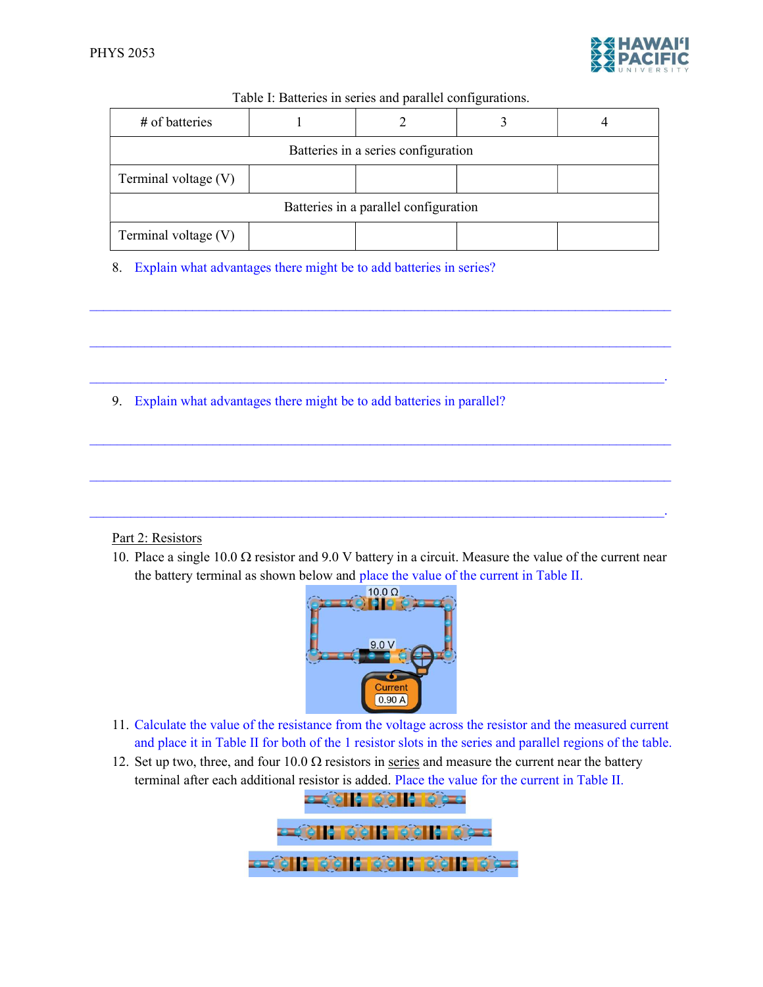

| Table I: Batteries in series and parallel configurations. |  |  |  |  |
|-----------------------------------------------------------|--|--|--|--|
|-----------------------------------------------------------|--|--|--|--|

| # of batteries                        |  |  |  |  |
|---------------------------------------|--|--|--|--|
| Batteries in a series configuration   |  |  |  |  |
| Terminal voltage (V)                  |  |  |  |  |
| Batteries in a parallel configuration |  |  |  |  |
| Terminal voltage (V)                  |  |  |  |  |

 $\mathcal{L}_\text{max} = \mathcal{L}_\text{max} = \mathcal{L}_\text{max} = \mathcal{L}_\text{max} = \mathcal{L}_\text{max} = \mathcal{L}_\text{max} = \mathcal{L}_\text{max} = \mathcal{L}_\text{max} = \mathcal{L}_\text{max} = \mathcal{L}_\text{max} = \mathcal{L}_\text{max} = \mathcal{L}_\text{max} = \mathcal{L}_\text{max} = \mathcal{L}_\text{max} = \mathcal{L}_\text{max} = \mathcal{L}_\text{max} = \mathcal{L}_\text{max} = \mathcal{L}_\text{max} = \mathcal{$ 

 $\mathcal{L}_\mathcal{L} = \mathcal{L}_\mathcal{L} = \mathcal{L}_\mathcal{L} = \mathcal{L}_\mathcal{L} = \mathcal{L}_\mathcal{L} = \mathcal{L}_\mathcal{L} = \mathcal{L}_\mathcal{L} = \mathcal{L}_\mathcal{L} = \mathcal{L}_\mathcal{L} = \mathcal{L}_\mathcal{L} = \mathcal{L}_\mathcal{L} = \mathcal{L}_\mathcal{L} = \mathcal{L}_\mathcal{L} = \mathcal{L}_\mathcal{L} = \mathcal{L}_\mathcal{L} = \mathcal{L}_\mathcal{L} = \mathcal{L}_\mathcal{L}$ 

 $\mathcal{L}_\mathcal{L} = \mathcal{L}_\mathcal{L} = \mathcal{L}_\mathcal{L} = \mathcal{L}_\mathcal{L} = \mathcal{L}_\mathcal{L} = \mathcal{L}_\mathcal{L} = \mathcal{L}_\mathcal{L} = \mathcal{L}_\mathcal{L} = \mathcal{L}_\mathcal{L} = \mathcal{L}_\mathcal{L} = \mathcal{L}_\mathcal{L} = \mathcal{L}_\mathcal{L} = \mathcal{L}_\mathcal{L} = \mathcal{L}_\mathcal{L} = \mathcal{L}_\mathcal{L} = \mathcal{L}_\mathcal{L} = \mathcal{L}_\mathcal{L}$ 

 $\mathcal{L}_\text{max} = \mathcal{L}_\text{max} = \mathcal{L}_\text{max} = \mathcal{L}_\text{max} = \mathcal{L}_\text{max} = \mathcal{L}_\text{max} = \mathcal{L}_\text{max} = \mathcal{L}_\text{max} = \mathcal{L}_\text{max} = \mathcal{L}_\text{max} = \mathcal{L}_\text{max} = \mathcal{L}_\text{max} = \mathcal{L}_\text{max} = \mathcal{L}_\text{max} = \mathcal{L}_\text{max} = \mathcal{L}_\text{max} = \mathcal{L}_\text{max} = \mathcal{L}_\text{max} = \mathcal{$ 

 $\mathcal{L}_\text{max} = \mathcal{L}_\text{max} = \mathcal{L}_\text{max} = \mathcal{L}_\text{max} = \mathcal{L}_\text{max} = \mathcal{L}_\text{max} = \mathcal{L}_\text{max} = \mathcal{L}_\text{max} = \mathcal{L}_\text{max} = \mathcal{L}_\text{max} = \mathcal{L}_\text{max} = \mathcal{L}_\text{max} = \mathcal{L}_\text{max} = \mathcal{L}_\text{max} = \mathcal{L}_\text{max} = \mathcal{L}_\text{max} = \mathcal{L}_\text{max} = \mathcal{L}_\text{max} = \mathcal{$ 

 $\mathcal{L}_\mathcal{L} = \mathcal{L}_\mathcal{L} = \mathcal{L}_\mathcal{L} = \mathcal{L}_\mathcal{L} = \mathcal{L}_\mathcal{L} = \mathcal{L}_\mathcal{L} = \mathcal{L}_\mathcal{L} = \mathcal{L}_\mathcal{L} = \mathcal{L}_\mathcal{L} = \mathcal{L}_\mathcal{L} = \mathcal{L}_\mathcal{L} = \mathcal{L}_\mathcal{L} = \mathcal{L}_\mathcal{L} = \mathcal{L}_\mathcal{L} = \mathcal{L}_\mathcal{L} = \mathcal{L}_\mathcal{L} = \mathcal{L}_\mathcal{L}$ 

8. Explain what advantages there might be to add batteries in series?

9. Explain what advantages there might be to add batteries in parallel?

### Part 2: Resistors

10. Place a single 10.0  $\Omega$  resistor and 9.0 V battery in a circuit. Measure the value of the current near the battery terminal as shown below and place the value of the current in Table II.



- 11. Calculate the value of the resistance from the voltage across the resistor and the measured current and place it in Table II for both of the 1 resistor slots in the series and parallel regions of the table.
- 12. Set up two, three, and four 10.0  $\Omega$  resistors in series and measure the current near the battery terminal after each additional resistor is added. Place the value for the current in Table II.

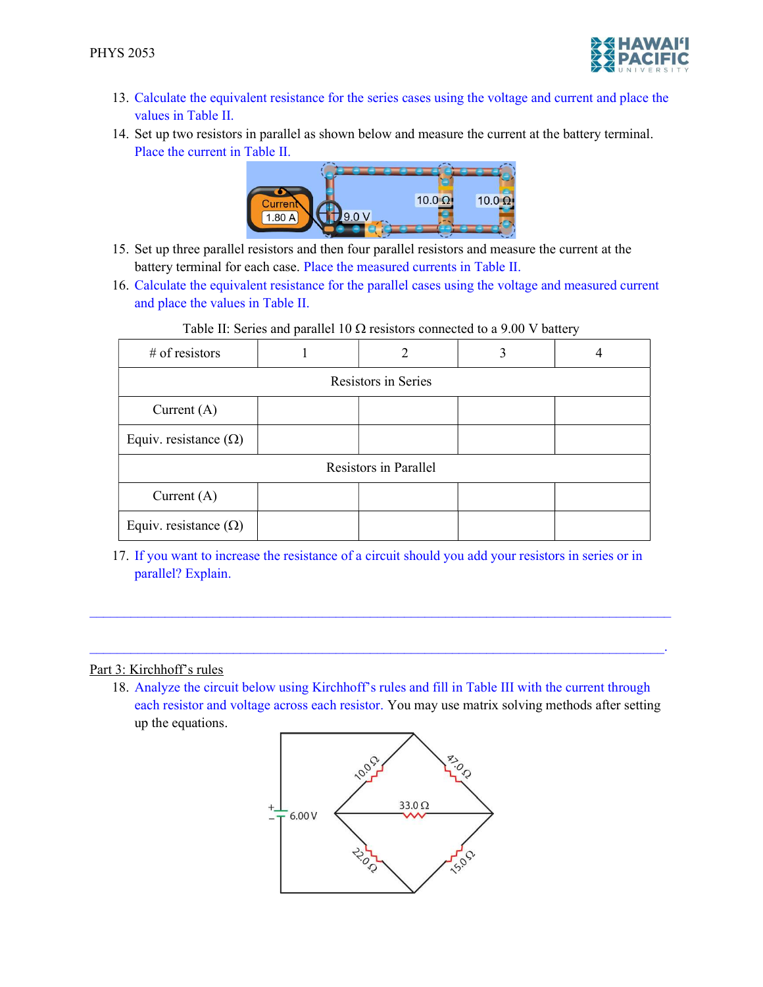

- 13. Calculate the equivalent resistance for the series cases using the voltage and current and place the values in Table II.
- 14. Set up two resistors in parallel as shown below and measure the current at the battery terminal. Place the current in Table II.



- 15. Set up three parallel resistors and then four parallel resistors and measure the current at the battery terminal for each case. Place the measured currents in Table II.
- 16. Calculate the equivalent resistance for the parallel cases using the voltage and measured current and place the values in Table II.

| $#$ of resistors             |  | 2 | 3 |  |
|------------------------------|--|---|---|--|
| Resistors in Series          |  |   |   |  |
| Current $(A)$                |  |   |   |  |
| Equiv. resistance $(\Omega)$ |  |   |   |  |
| Resistors in Parallel        |  |   |   |  |
| Current $(A)$                |  |   |   |  |
| Equiv. resistance $(\Omega)$ |  |   |   |  |

#### Table II: Series and parallel 10  $\Omega$  resistors connected to a 9.00 V battery

17. If you want to increase the resistance of a circuit should you add your resistors in series or in parallel? Explain.

 $\mathcal{L}_\mathcal{L} = \mathcal{L}_\mathcal{L} = \mathcal{L}_\mathcal{L} = \mathcal{L}_\mathcal{L} = \mathcal{L}_\mathcal{L} = \mathcal{L}_\mathcal{L} = \mathcal{L}_\mathcal{L} = \mathcal{L}_\mathcal{L} = \mathcal{L}_\mathcal{L} = \mathcal{L}_\mathcal{L} = \mathcal{L}_\mathcal{L} = \mathcal{L}_\mathcal{L} = \mathcal{L}_\mathcal{L} = \mathcal{L}_\mathcal{L} = \mathcal{L}_\mathcal{L} = \mathcal{L}_\mathcal{L} = \mathcal{L}_\mathcal{L}$ 

#### Part 3: Kirchhoff's rules

18. Analyze the circuit below using Kirchhoff's rules and fill in Table III with the current through each resistor and voltage across each resistor. You may use matrix solving methods after setting up the equations.